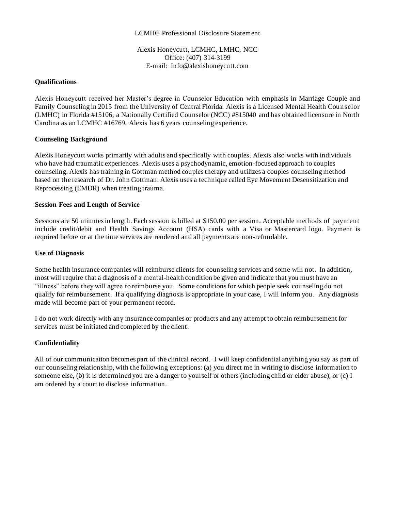## LCMHC Professional Disclosure Statement

Alexis Honeycutt, LCMHC, LMHC, NCC Office: (407) 314-3199 E-mail: Info@alexishoneycutt.com

#### **Qualifications**

Alexis Honeycutt received her Master's degree in Counselor Education with emphasis in Marriage Couple and Family Counseling in 2015 from the University of Central Florida. Alexis is a Licensed Mental Health Counselor (LMHC) in Florida #15106, a Nationally Certified Counselor (NCC) #815040 and has obtained licensure in North Carolina as an LCMHC #16769. Alexis has 6 years counseling experience.

## **Counseling Background**

Alexis Honeycutt works primarily with adults and specifically with couples. Alexis also works with individuals who have had traumatic experiences. Alexis uses a psychodynamic, emotion-focused approach to couples counseling. Alexis has training in Gottman method couples therapy and utilizes a couples counseling method based on the research of Dr. John Gottman. Alexis uses a technique called Eye Movement Desensitization and Reprocessing (EMDR) when treating trauma.

## **Session Fees and Length of Service**

Sessions are 50 minutes in length. Each session is billed at \$150.00 per session. Acceptable methods of payment include credit/debit and Health Savings Account (HSA) cards with a Visa or Mastercard logo. Payment is required before or at the time services are rendered and all payments are non-refundable.

## **Use of Diagnosis**

Some health insurance companies will reimburse clients for counseling services and some will not. In addition, most will require that a diagnosis of a mental-health condition be given and indicate that you must have an "illness" before they will agree to reimburse you. Some conditions for which people seek counseling do not qualify for reimbursement. If a qualifying diagnosis is appropriate in your case, I will inform you. Any diagnosis made will become part of your permanent record.

I do not work directly with any insurance companies or products and any attempt to obtain reimbursement for services must be initiated and completed by the client.

# **Confidentiality**

All of our communication becomes part of the clinical record. I will keep confidential anything you say as part of our counseling relationship, with the following exceptions: (a) you direct me in writing to disclose information to someone else, (b) it is determined you are a danger to yourself or others (including child or elder abuse), or (c) I am ordered by a court to disclose information.